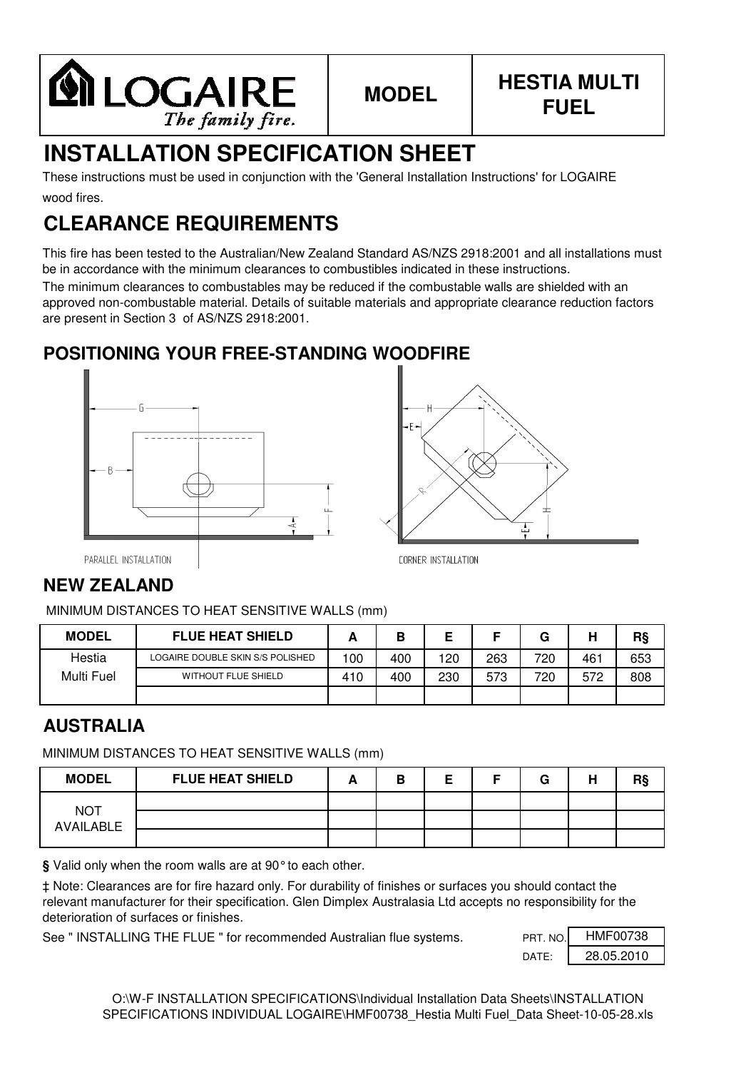

# **INSTALLATION SPECIFICATION SHEET**

wood fires. These instructions must be used in conjunction with the 'General Installation Instructions' for LOGAIRE

# **CLEARANCE REQUIREMENTS**

This fire has been tested to the Australian/New Zealand Standard AS/NZS 2918:2001 and all installations must be in accordance with the minimum clearances to combustibles indicated in these instructions.

The minimum clearances to combustables may be reduced if the combustable walls are shielded with an approved non-combustable material. Details of suitable materials and appropriate clearance reduction factors are present in Section 3 of AS/NZS 2918:2001.

# **POSITIONING YOUR FREE-STANDING WOODFIRE**





PARALLEL INSTALLATION

# **NEW ZEALAND**

MINIMUM DISTANCES TO HEAT SENSITIVE WALLS (mm)

| <b>MODEL</b> | <b>FLUE HEAT SHIELD</b>          |     |     |     |     | G   | н   | R§  |
|--------------|----------------------------------|-----|-----|-----|-----|-----|-----|-----|
| Hestia       | LOGAIRE DOUBLE SKIN S/S POLISHED | 100 | 400 | 120 | 263 | 720 | 461 | 653 |
| Multi Fuel   | <b>WITHOUT FLUE SHIELD</b>       | 410 | 400 | 230 | 573 | 720 | 572 | 808 |
|              |                                  |     |     |     |     |     |     |     |

## **AUSTRALIA**

MINIMUM DISTANCES TO HEAT SENSITIVE WALLS (mm)

| <b>MODEL</b>                   | <b>FLUE HEAT SHIELD</b> | в |  | G | н | R§ |
|--------------------------------|-------------------------|---|--|---|---|----|
|                                |                         |   |  |   |   |    |
| <b>NOT</b><br><b>AVAILABLE</b> |                         |   |  |   |   |    |
|                                |                         |   |  |   |   |    |

**§** Valid only when the room walls are at 90°to each other.

‡ Note: Clearances are for fire hazard only. For durability of finishes or surfaces you should contact the relevant manufacturer for their specification. Glen Dimplex Australasia Ltd accepts no responsibility for the deterioration of surfaces or finishes.

See " INSTALLING THE FLUE " for recommended Australian flue systems.

| PRT. NO. | HMF00738   |
|----------|------------|
| DATF.    | 28.05.2010 |

O:\W-F INSTALLATION SPECIFICATIONS\Individual Installation Data Sheets\INSTALLATION SPECIFICATIONS INDIVIDUAL LOGAIRE\HMF00738 Hestia Multi Fuel Data Sheet-10-05-28.xls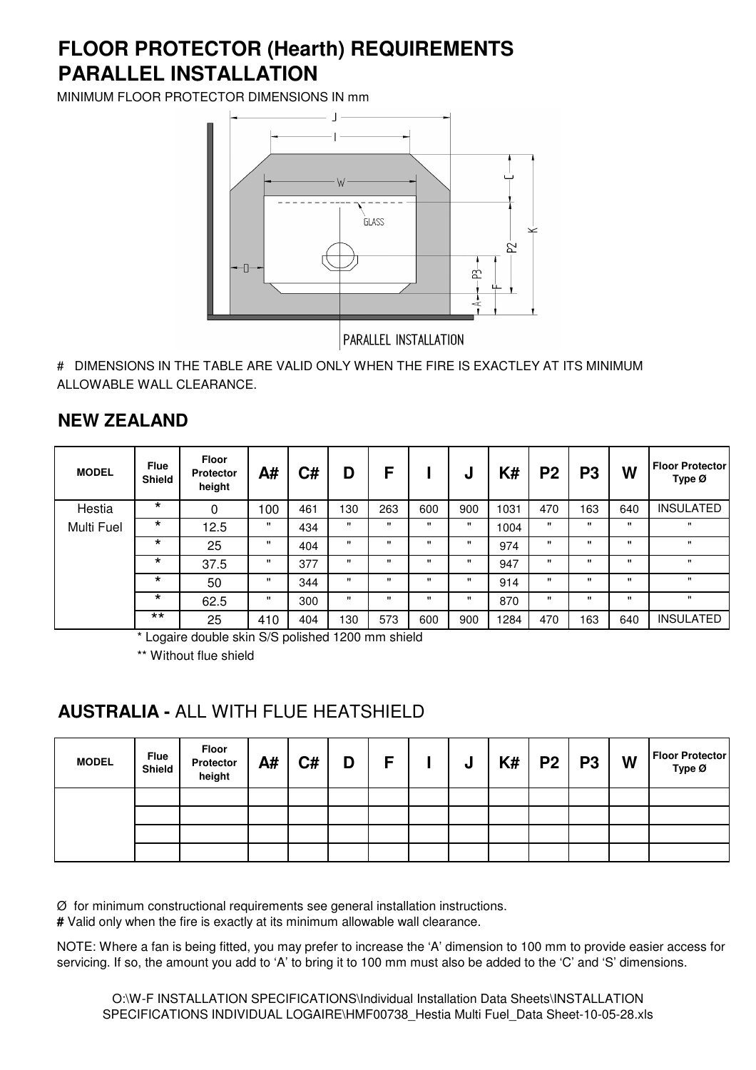# **PARALLEL INSTALLATION FLOOR PROTECTOR (Hearth) REQUIREMENTS**

MINIMUM FLOOR PROTECTOR DIMENSIONS IN mm



# DIMENSIONS IN THE TABLE ARE VALID ONLY WHEN THE FIRE IS EXACTLEY AT ITS MINIMUM ALLOWABLE WALL CLEARANCE.

### **NEW ZEALAND**

| <b>MODEL</b> | <b>Flue</b><br><b>Shield</b> | <b>Floor</b><br><b>Protector</b><br>height | A#           | C#  | D            | F            |              | u            | K#   | P <sub>2</sub> | P3           | W            | <b>Floor Protector</b><br>Type $\varnothing$ |
|--------------|------------------------------|--------------------------------------------|--------------|-----|--------------|--------------|--------------|--------------|------|----------------|--------------|--------------|----------------------------------------------|
| Hestia       | $\star$                      | $\Omega$                                   | 100          | 461 | 130          | 263          | 600          | 900          | 1031 | 470            | 163          | 640          | <b>INSULATED</b>                             |
| Multi Fuel   | $\star$                      | 12.5                                       |              | 434 | $\mathbf{u}$ | $\mathbf{H}$ | "            | "            | 1004 | $\mathbf{H}$   | $\mathbf{u}$ | $\mathbf{H}$ | $\mathbf{H}$                                 |
|              | $\star$                      | 25                                         |              | 404 | $\mathbf{H}$ | $\mathbf{H}$ | "            | $\mathbf{u}$ | 974  | $\mathbf{H}$   | $\mathbf{u}$ | $\mathbf{H}$ | $\mathbf{u}$                                 |
|              | $\star$                      | 37.5                                       |              | 377 | $\mathbf{u}$ | $\mathbf{u}$ | $\mathbf{u}$ | "            | 947  | $\mathbf{H}$   | $\mathbf{u}$ | $\mathbf{H}$ | $\mathbf{H}$                                 |
|              | $\star$                      | 50                                         | $\mathbf{H}$ | 344 | $\mathbf{u}$ | $\mathbf{u}$ | $\mathbf{u}$ | $\mathbf{u}$ | 914  | $\mathbf{u}$   | $\mathbf{u}$ | $\mathbf{H}$ | $\mathbf{u}$                                 |
|              | $\star$                      | 62.5                                       | "            | 300 | $\mathbf{u}$ | $\mathbf{H}$ | $\mathbf{H}$ | $\mathbf{u}$ | 870  | $\mathbf{H}$   | $\mathbf{H}$ | $\mathbf{H}$ | $\mathbf{H}$                                 |
|              | $***$                        | 25                                         | 410          | 404 | 130          | 573          | 600          | 900          | 1284 | 470            | 163          | 640          | <b>INSULATED</b>                             |

\* Logaire double skin S/S polished 1200 mm shield

\*\* Without flue shield

#### **AUSTRALIA -** ALL WITH FLUE HEATSHIELD

| <b>MODEL</b> | <b>Flue</b><br>Shield | Floor<br>Protector<br>height | A# | C# | D | F | υ | K# | $P2$   P3 | W | <b>Floor Protector</b><br>Type Ø |
|--------------|-----------------------|------------------------------|----|----|---|---|---|----|-----------|---|----------------------------------|
|              |                       |                              |    |    |   |   |   |    |           |   |                                  |
|              |                       |                              |    |    |   |   |   |    |           |   |                                  |
|              |                       |                              |    |    |   |   |   |    |           |   |                                  |
|              |                       |                              |    |    |   |   |   |    |           |   |                                  |

Ø for minimum constructional requirements see general installation instructions.

**#** Valid only when the fire is exactly at its minimum allowable wall clearance.

NOTE: Where a fan is being fitted, you may prefer to increase the 'A' dimension to 100 mm to provide easier access for servicing. If so, the amount you add to 'A' to bring it to 100 mm must also be added to the 'C' and 'S' dimensions.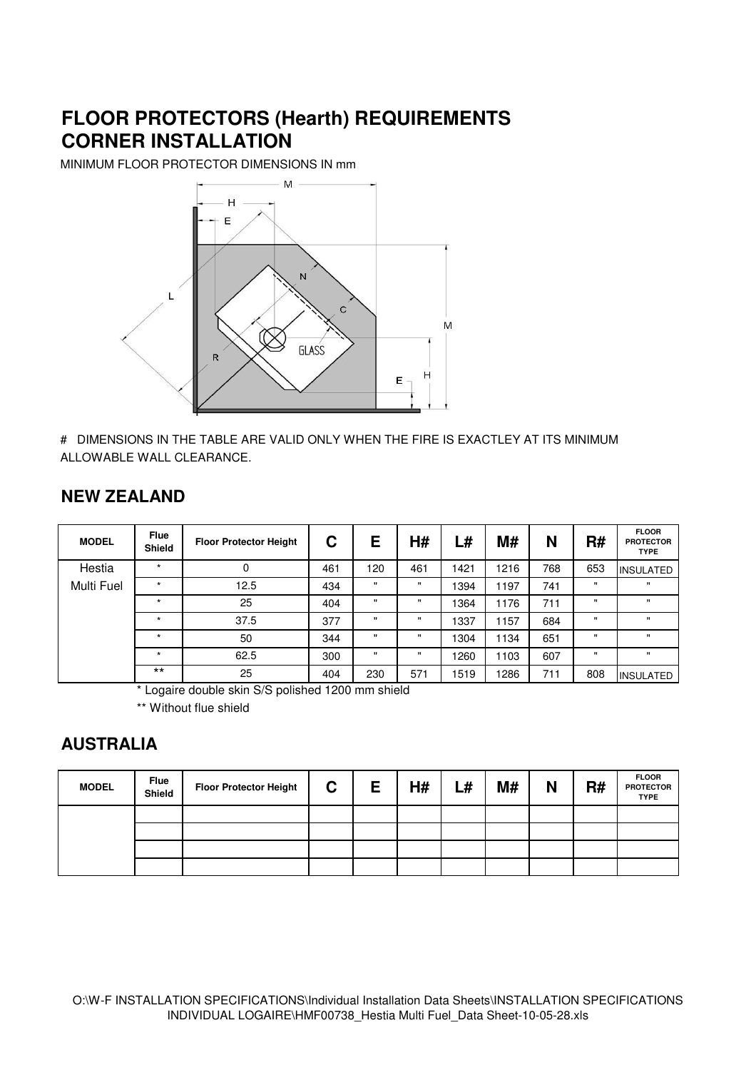# **FLOOR PROTECTORS (Hearth) REQUIREMENTS CORNER INSTALLATION**

MINIMUM FLOOR PROTECTOR DIMENSIONS IN mm



# DIMENSIONS IN THE TABLE ARE VALID ONLY WHEN THE FIRE IS EXACTLEY AT ITS MINIMUM ALLOWABLE WALL CLEARANCE.

#### **NEW ZEALAND**

| <b>MODEL</b> | <b>Flue</b><br><b>Shield</b> | <b>Floor Protector Height</b> | С   | E            | H#           | L#   | M#   | N   | R#           | <b>FLOOR</b><br><b>PROTECTOR</b><br><b>TYPE</b> |
|--------------|------------------------------|-------------------------------|-----|--------------|--------------|------|------|-----|--------------|-------------------------------------------------|
| Hestia       | $\star$                      | 0                             | 461 | 120          | 461          | 1421 | 1216 | 768 | 653          | <b>INSULATED</b>                                |
| Multi Fuel   | $\star$                      | 12.5                          | 434 | $\mathbf{u}$ | $\mathbf{u}$ | 1394 | 1197 | 741 | $\mathbf{u}$ | $\mathbf{u}$                                    |
|              | $\star$                      | 25                            | 404 | $\mathbf{H}$ | $\mathbf{u}$ | 1364 | 1176 | 711 | $\mathbf{H}$ | $\mathbf{u}$                                    |
|              | $\star$                      | 37.5                          | 377 | $\mathbf{H}$ | $\mathbf{H}$ | 1337 | 1157 | 684 | $\mathbf{H}$ | $\mathbf{u}$                                    |
|              | $\star$                      | 50                            | 344 |              | $\mathbf{H}$ | 1304 | 1134 | 651 | $\mathbf{H}$ | $\mathbf{u}$                                    |
|              | $\star$                      | 62.5                          | 300 |              | $\mathbf{H}$ | 1260 | 1103 | 607 | $\mathbf{u}$ | $\mathbf{u}$                                    |
|              | $***$                        | 25                            | 404 | 230          | 571          | 1519 | 1286 | 711 | 808          | <b>INSULATED</b>                                |

\* Logaire double skin S/S polished 1200 mm shield

\*\* Without flue shield

#### **AUSTRALIA**

| <b>MODEL</b> | <b>Flue</b><br>Shield | <b>Floor Protector Height</b> | C. | E | H# | L# | M# | N | R# | <b>FLOOR</b><br><b>PROTECTOR</b><br><b>TYPE</b> |
|--------------|-----------------------|-------------------------------|----|---|----|----|----|---|----|-------------------------------------------------|
|              |                       |                               |    |   |    |    |    |   |    |                                                 |
|              |                       |                               |    |   |    |    |    |   |    |                                                 |
|              |                       |                               |    |   |    |    |    |   |    |                                                 |
|              |                       |                               |    |   |    |    |    |   |    |                                                 |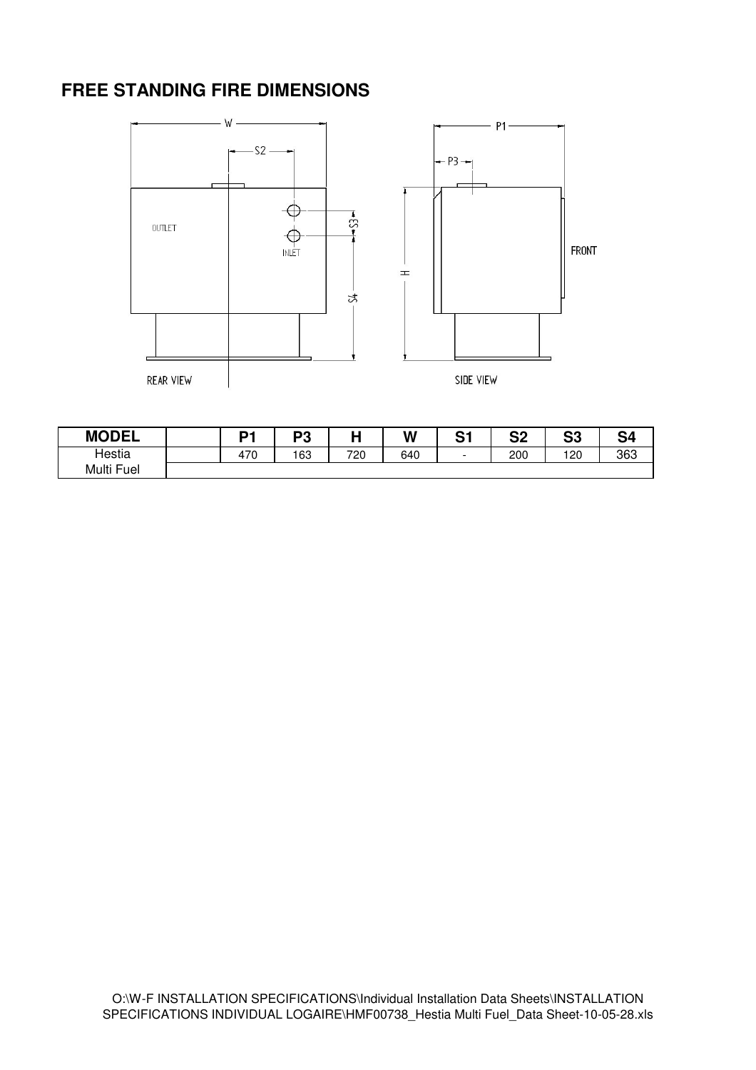## **FREE STANDING FIRE DIMENSIONS**



| <b>MODEL</b> | D1  | nn<br>- 0 |     | W   | ິີ<br>ت | n.<br>JZ | n n<br>υū | ົ   |
|--------------|-----|-----------|-----|-----|---------|----------|-----------|-----|
| Hestia       | 470 | 163       | 720 | 640 |         | 200      | 120       | 363 |
| Multi Fuel   |     |           |     |     |         |          |           |     |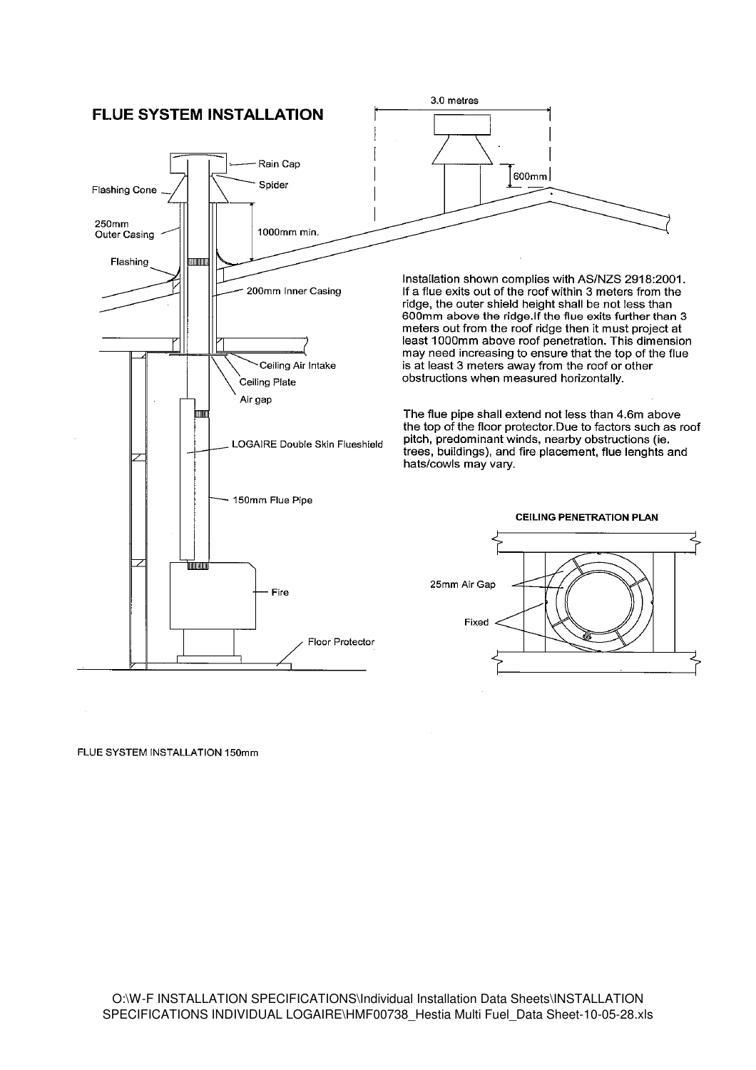

FLUE SYSTEM INSTALLATION 150mm